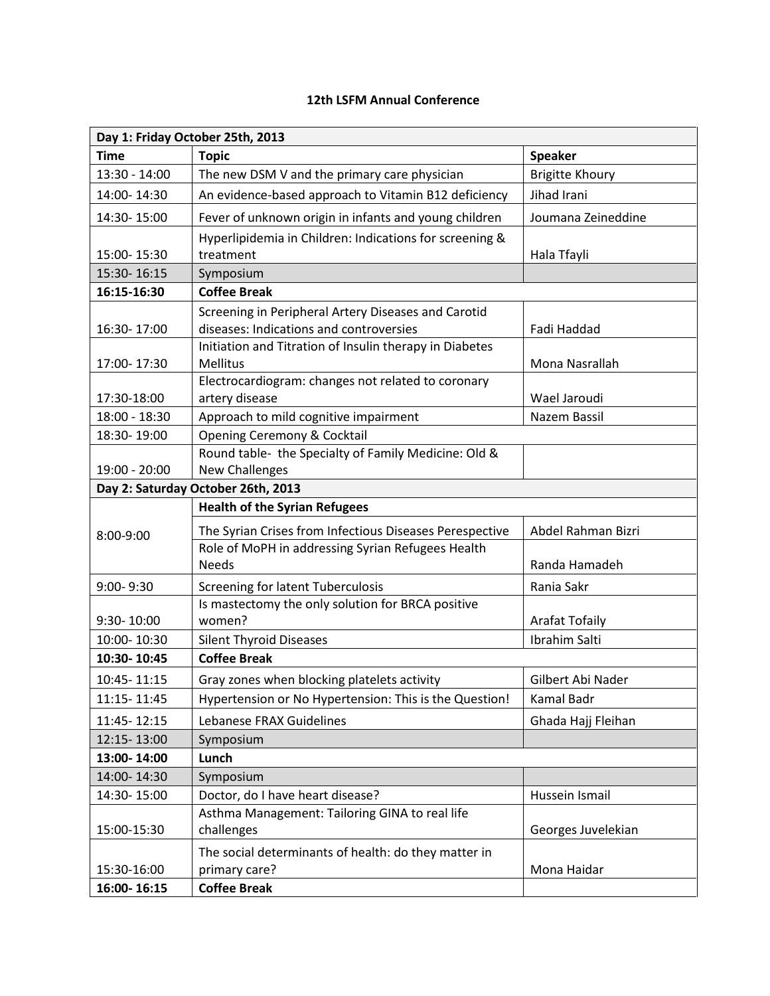## **12th LSFM Annual Conference**

| Day 1: Friday October 25th, 2013   |                                                                       |                        |  |
|------------------------------------|-----------------------------------------------------------------------|------------------------|--|
| <b>Time</b>                        | <b>Topic</b>                                                          | <b>Speaker</b>         |  |
| 13:30 - 14:00                      | The new DSM V and the primary care physician                          | <b>Brigitte Khoury</b> |  |
| 14:00-14:30                        | An evidence-based approach to Vitamin B12 deficiency                  | Jihad Irani            |  |
| 14:30-15:00                        | Fever of unknown origin in infants and young children                 | Joumana Zeineddine     |  |
|                                    | Hyperlipidemia in Children: Indications for screening &               |                        |  |
| 15:00-15:30                        | treatment                                                             | Hala Tfayli            |  |
| 15:30-16:15                        | Symposium                                                             |                        |  |
| 16:15-16:30                        | <b>Coffee Break</b>                                                   |                        |  |
|                                    | Screening in Peripheral Artery Diseases and Carotid                   |                        |  |
| 16:30-17:00                        | diseases: Indications and controversies                               | Fadi Haddad            |  |
|                                    | Initiation and Titration of Insulin therapy in Diabetes               |                        |  |
| 17:00-17:30                        | <b>Mellitus</b><br>Electrocardiogram: changes not related to coronary | Mona Nasrallah         |  |
| 17:30-18:00                        | artery disease                                                        | Wael Jaroudi           |  |
| 18:00 - 18:30                      | Approach to mild cognitive impairment                                 | Nazem Bassil           |  |
| 18:30-19:00                        | Opening Ceremony & Cocktail                                           |                        |  |
|                                    | Round table- the Specialty of Family Medicine: Old &                  |                        |  |
| 19:00 - 20:00                      | <b>New Challenges</b>                                                 |                        |  |
| Day 2: Saturday October 26th, 2013 |                                                                       |                        |  |
|                                    | <b>Health of the Syrian Refugees</b>                                  |                        |  |
| 8:00-9:00                          | The Syrian Crises from Infectious Diseases Perespective               | Abdel Rahman Bizri     |  |
|                                    | Role of MoPH in addressing Syrian Refugees Health                     |                        |  |
|                                    | <b>Needs</b>                                                          | Randa Hamadeh          |  |
| 9:00-9:30                          | <b>Screening for latent Tuberculosis</b>                              | Rania Sakr             |  |
|                                    | Is mastectomy the only solution for BRCA positive                     |                        |  |
| 9:30-10:00                         | women?                                                                | <b>Arafat Tofaily</b>  |  |
| 10:00-10:30                        | <b>Silent Thyroid Diseases</b>                                        | Ibrahim Salti          |  |
| 10:30-10:45                        | <b>Coffee Break</b>                                                   |                        |  |
| 10:45-11:15                        | Gray zones when blocking platelets activity                           | Gilbert Abi Nader      |  |
| 11:15 - 11:45                      | Hypertension or No Hypertension: This is the Question!                | Kamal Badr             |  |
| 11:45 - 12:15                      | Lebanese FRAX Guidelines                                              | Ghada Hajj Fleihan     |  |
| 12:15-13:00                        | Symposium                                                             |                        |  |
| 13:00-14:00                        | Lunch                                                                 |                        |  |
| 14:00-14:30                        | Symposium                                                             |                        |  |
| 14:30-15:00                        | Doctor, do I have heart disease?                                      | Hussein Ismail         |  |
|                                    | Asthma Management: Tailoring GINA to real life                        |                        |  |
| 15:00-15:30                        | challenges                                                            | Georges Juvelekian     |  |
|                                    | The social determinants of health: do they matter in                  |                        |  |
| 15:30-16:00                        | primary care?                                                         | Mona Haidar            |  |
| 16:00-16:15                        | <b>Coffee Break</b>                                                   |                        |  |